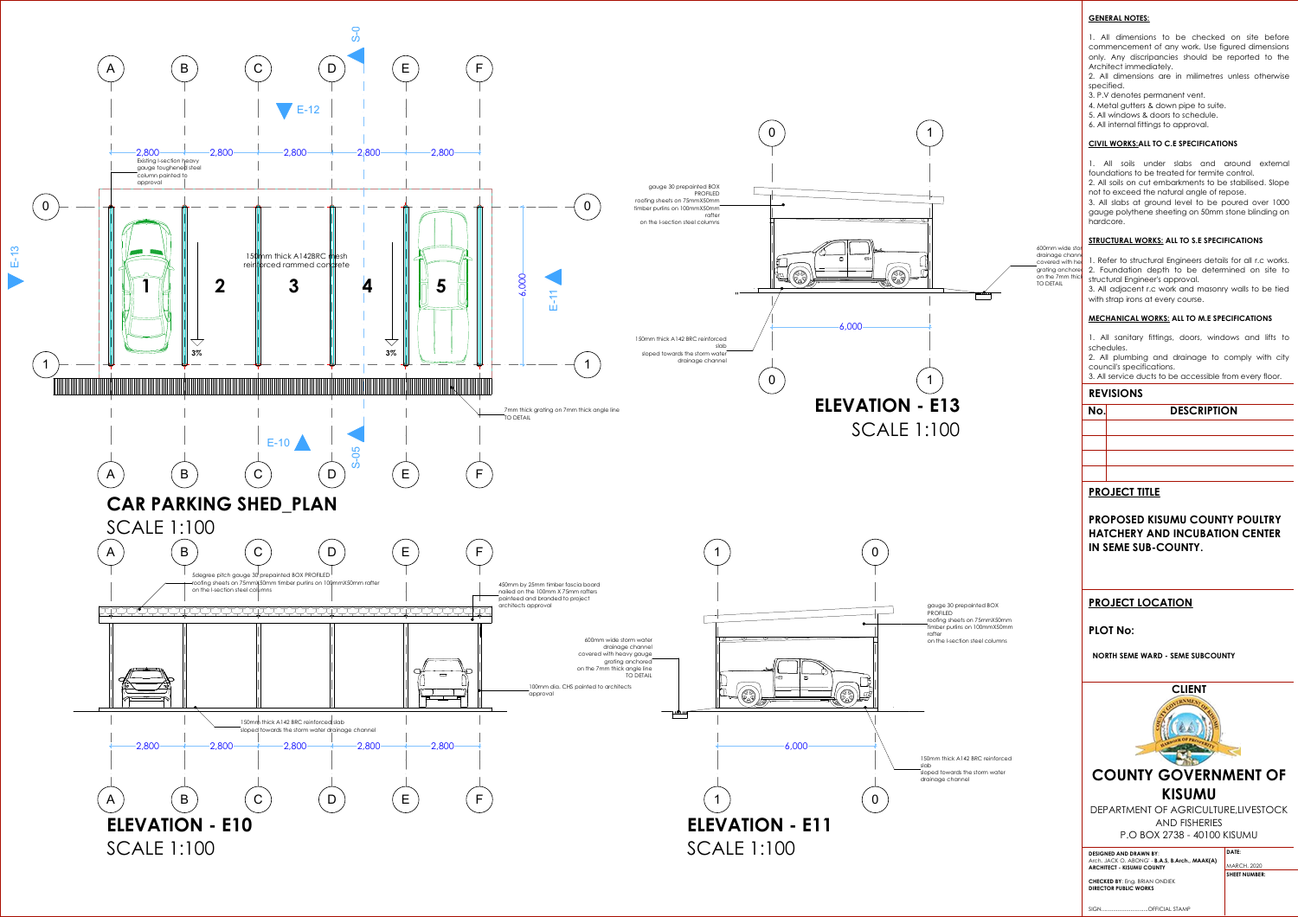## **GENERAL NOTES:**

1. All dimensions to be checked on site before commencement of any work. Use figured dimensions only. Any discripancies should be reported to the Architect immediately.

2. All dimensions are in milimetres unless otherwise specified.

- 3. P.V denotes permanent vent.
- 4. Metal gutters & down pipe to suite.
- 5. All windows & doors to schedule.

6. All internal fittings to approval.

### **CIVIL WORKS:ALL TO C.E SPECIFICATIONS**

1. All soils under slabs and around external foundations to be treated for termite control.



2. All soils on cut embarkments to be stabilised. Slope not to exceed the natural angle of repose.

3. All slabs at ground level to be poured over 1000 gauge polythene sheeting on 50mm stone blinding on hardcore.

#### **STRUCTURAL WORKS: ALL TO S.E SPECIFICATIONS**

1. Refer to structural Engineers details for all r.c works. 2. Foundation depth to be determined on site to structural Engineer's approval.

600mm wide stor drainage channe covered with he grating anchore on the 7mm thic TO DETAIL

3. All adjacent r.c work and masonry walls to be tied with strap irons at every course.

#### **MECHANICAL WORKS: ALL TO M.E SPECIFICATIONS**

1. All sanitary fittings, doors, windows and lifts to schedules.

2. All plumbing and drainage to comply with city council's specifications.

3. All service ducts to be accessible from every floor.

## **REVISIONS**

# **No. DESCRIPTION**

# **PROJECT TITLE**

**PROPOSED KISUMU COUNTY POULTRY HATCHERY AND INCUBATION CENTER IN SEME SUB-COUNTY.**

# **PROJECT LOCATION**

## **PLOT No:**

**NORTH SEME WARD - SEME SUBCOUNTY** 



GSPUblisherVersion 0.4.100.1000